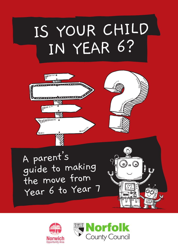# IS YOUR CHILD IN YEAR 6?



A parent's guide to making the move from Year 6 to Year 7

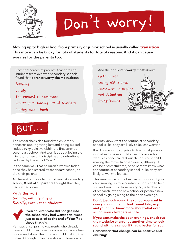

# Don't worry!

Moving up to high school from primary or junior school is usually called **transition**. This move can be tricky for lots of students for lots of reasons. And it can cause worries for the parents too.

Recent research of parents, teachers and students from over ten secondary schools, found that parents worry the most about:

Bullying

Safety

The amount of homework Adjusting to having lots of teachers

Making new friends

And their children worry most about:

Getting lost Losing old friends Homework, discipline and detentions Being bullied



The researchers also found the children's concerns about getting lost and being bullied reduce very quickly, within the first term at secondary school. And worries about losing old friends, homework, discipline and detentions reduced by the end of Year 7.

In the same way that children's worries faded once they had started at secondary school, so did their parents'.

At the end of their child's first year at secondary school, 8 out of 10 parents thought that they had settled in well:

#### With the work Socially, with teachers Socially, with other students

#### Even children who did not get into the school they had wanted to, were just as settled at the end of Year 7 as those that did.

Perhaps unsurprisingly, parents who already have a child move to secondary school were less concerned about their current child making the move. Although it can be a stressful time, once

parents know what the routine at secondary school is like, they are likely to be less worried.

It will come as no surprise to learn that parents who already have a child at secondary school were less concerned about their current child making the move. In other words, although it can be a stressful time, once parents know what the routine at secondary school is like, they are likely to worry a lot less.

This means one of the best ways to support your child moving up to secondary school and to help you and your child from worrying, is to do a bit of research into the new school or possible new school by going along to the open evenings.

Don't just look round the school you want in case you don't get in, look round lots, so you and your child know more about what ever school your child gets sent to.

If you cant make the open evenings, check out their website or arrange another time to look round with the school if that is better for you.

**Remember that change can be positive and exciting!**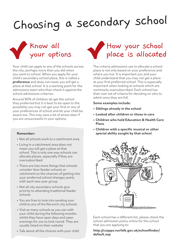## Choosing a secondary school



Your child can apply to any of the schools across the city, perhaps more than you did when you went to school. When you apply for your child's secondary school place, this is called a preference and does not mean you will get a place at that school. It is a starting point for the admissions team who then check it against the school admissions criterion.

Around 90% of children do get the school they preferred but it is best to be open to the possibility you may not get your first or any of your preferences of school and let your child be aware too. This may save a lot of stress later if you are unsuccessful in your options.

#### Remember:

- Not all schools work to a catchment area
- Living in a catchment area does not mean you will get a place at that school. This is only one way schools can allocate places, especially if they are oversubscribed
- There are lots more things that schools consider than feeder schools or catchment so the chances of getting into your preferred school changes yearly with each new year group
- Not all city secondary schools give priority to attending traditional feeder schools
- You are free to look into sending your child to any of the Norwich city schools
- Visit as many schools as you can with your child during the following months whilst they have open days and open evenings for you to look round. They are usually listed on their website
- Talk about all the choices with your child



The criteria admissions use to allocate a school place is not only based on your preference and where you live. It is important you and your child understand that you may not get a place at your first preferred school. This is especially important when looking at schools which are commonly oversubscribed. Each school has their own set of criteria for deciding on who to admit once they are full.

#### Some examples include:

- Siblings already in the school
- Looked after children or those in care
- Children who hold Education & Health Care Plans
- Children with a specific musical or other special ability sought by that school



Each school has a different list, please check the school admission policy online for the school that you are applying to:

http://csapps.norfolk.gov.uk/schoolfinder/ default.asp